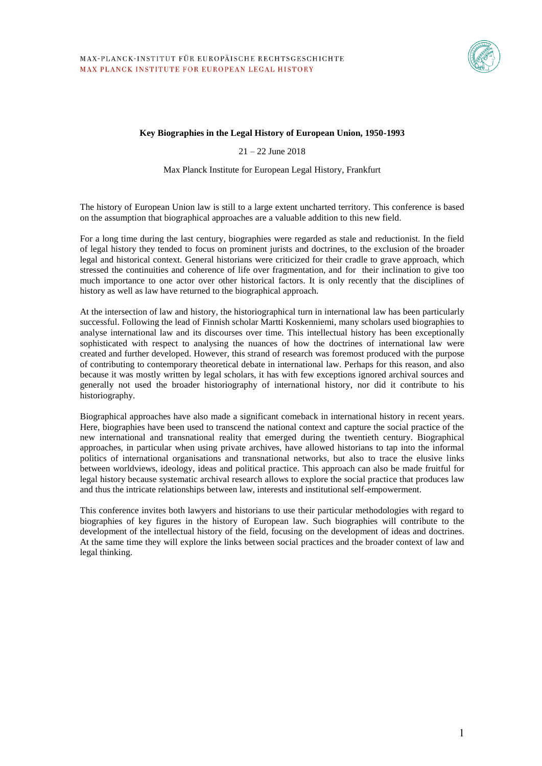

#### **Key Biographies in the Legal History of European Union, 1950-1993**

21 – 22 June 2018

Max Planck Institute for European Legal History, Frankfurt

The history of European Union law is still to a large extent uncharted territory. This conference is based on the assumption that biographical approaches are a valuable addition to this new field.

For a long time during the last century, biographies were regarded as stale and reductionist. In the field of legal history they tended to focus on prominent jurists and doctrines, to the exclusion of the broader legal and historical context. General historians were criticized for their cradle to grave approach, which stressed the continuities and coherence of life over fragmentation, and for their inclination to give too much importance to one actor over other historical factors. It is only recently that the disciplines of history as well as law have returned to the biographical approach.

At the intersection of law and history, the historiographical turn in international law has been particularly successful. Following the lead of Finnish scholar Martti Koskenniemi, many scholars used biographies to analyse international law and its discourses over time. This intellectual history has been exceptionally sophisticated with respect to analysing the nuances of how the doctrines of international law were created and further developed. However, this strand of research was foremost produced with the purpose of contributing to contemporary theoretical debate in international law. Perhaps for this reason, and also because it was mostly written by legal scholars, it has with few exceptions ignored archival sources and generally not used the broader historiography of international history, nor did it contribute to his historiography.

Biographical approaches have also made a significant comeback in international history in recent years. Here, biographies have been used to transcend the national context and capture the social practice of the new international and transnational reality that emerged during the twentieth century. Biographical approaches, in particular when using private archives, have allowed historians to tap into the informal politics of international organisations and transnational networks, but also to trace the elusive links between worldviews, ideology, ideas and political practice. This approach can also be made fruitful for legal history because systematic archival research allows to explore the social practice that produces law and thus the intricate relationships between law, interests and institutional self-empowerment.

This conference invites both lawyers and historians to use their particular methodologies with regard to biographies of key figures in the history of European law. Such biographies will contribute to the development of the intellectual history of the field, focusing on the development of ideas and doctrines. At the same time they will explore the links between social practices and the broader context of law and legal thinking.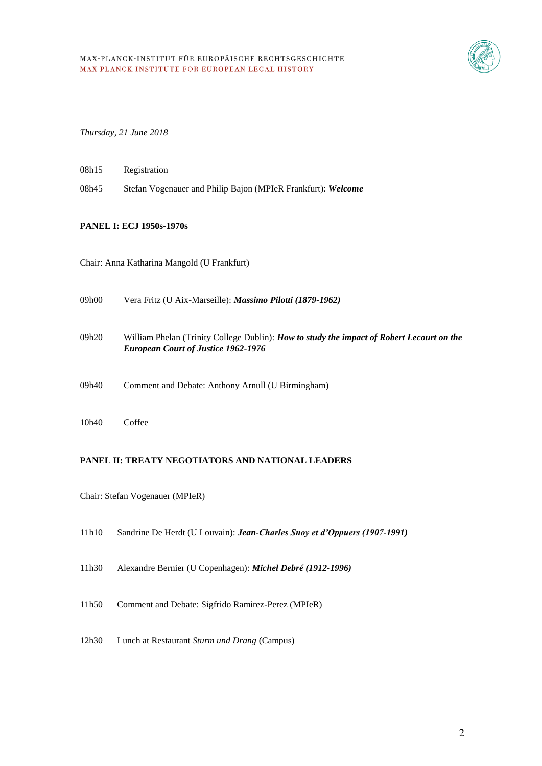

#### *Thursday, 21 June 2018*

- 08h15 Registration
- 08h45 Stefan Vogenauer and Philip Bajon (MPIeR Frankfurt): *Welcome*

## **PANEL I: ECJ 1950s-1970s**

Chair: Anna Katharina Mangold (U Frankfurt)

| 09h00  | Vera Fritz (U Aix-Marseille): <i>Massimo Pilotti (1879-1962)</i>                                                                               |
|--------|------------------------------------------------------------------------------------------------------------------------------------------------|
| 09h20  | William Phelan (Trinity College Dublin): <i>How to study the impact of Robert Lecourt on the</i><br><b>European Court of Justice 1962-1976</b> |
| 09h40. | Comment and Debate: Anthony Arnull (U Birmingham)                                                                                              |
| 10h40  | Coffee                                                                                                                                         |

### **PANEL II: TREATY NEGOTIATORS AND NATIONAL LEADERS**

Chair: Stefan Vogenauer (MPIeR)

- 11h10 Sandrine De Herdt (U Louvain): *Jean-Charles Snoy et d'Oppuers (1907-1991)*
- 11h30 Alexandre Bernier (U Copenhagen): *Michel Debré (1912-1996)*
- 11h50 Comment and Debate: Sigfrido Ramirez-Perez (MPIeR)
- 12h30 Lunch at Restaurant *Sturm und Drang* (Campus)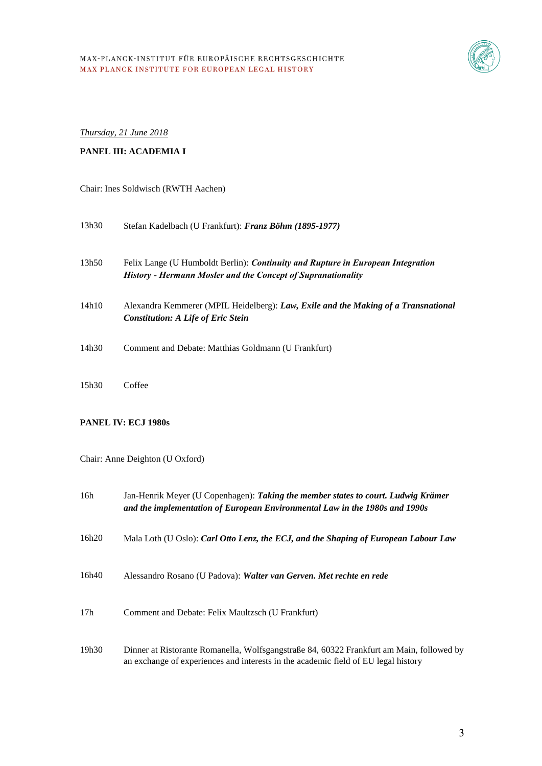

*Thursday, 21 June 2018*

#### **PANEL III: ACADEMIA I**

#### Chair: Ines Soldwisch (RWTH Aachen)

| 13h30 | Stefan Kadelbach (U Frankfurt): Franz Böhm (1895-1977)                                                                                                 |
|-------|--------------------------------------------------------------------------------------------------------------------------------------------------------|
| 13h50 | Felix Lange (U Humboldt Berlin): <i>Continuity and Rupture in European Integration</i><br>History - Hermann Mosler and the Concept of Supranationality |
| 14h10 | Alexandra Kemmerer (MPIL Heidelberg): Law, Exile and the Making of a Transnational<br><b>Constitution: A Life of Eric Stein</b>                        |
| 14h30 | Comment and Debate: Matthias Goldmann (U Frankfurt)                                                                                                    |
| 15h30 | Coffee                                                                                                                                                 |

#### **PANEL IV: ECJ 1980s**

Chair: Anne Deighton (U Oxford)

| 16h             | Jan-Henrik Meyer (U Copenhagen): Taking the member states to court. Ludwig Krämer<br>and the implementation of European Environmental Law in the 1980s and 1990s               |
|-----------------|--------------------------------------------------------------------------------------------------------------------------------------------------------------------------------|
| 16h20           | Mala Loth (U Oslo): Carl Otto Lenz, the ECJ, and the Shaping of European Labour Law                                                                                            |
| 16h40           | Alessandro Rosano (U Padova): Walter van Gerven. Met rechte en rede                                                                                                            |
| 17 <sub>h</sub> | Comment and Debate: Felix Maultzsch (U Frankfurt)                                                                                                                              |
| 19h30           | Dinner at Ristorante Romanella, Wolfsgangstraße 84, 60322 Frankfurt am Main, followed by<br>an exchange of experiences and interests in the academic field of EU legal history |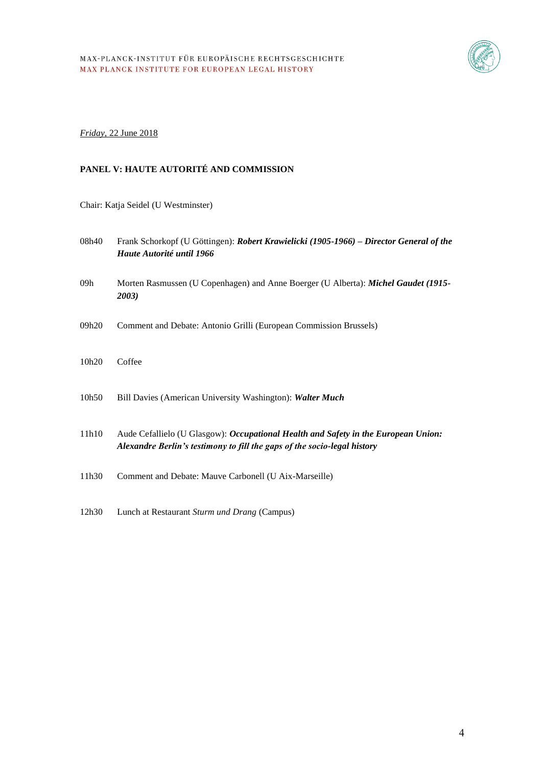

## *Friday,* 22 June 2018

# **PANEL V: HAUTE AUTORITÉ AND COMMISSION**

Chair: Katja Seidel (U Westminster)

| 08h40             | Frank Schorkopf (U Göttingen): Robert Krawielicki (1905-1966) – Director General of the<br>Haute Autorité until 1966                                                  |
|-------------------|-----------------------------------------------------------------------------------------------------------------------------------------------------------------------|
| 09h               | Morten Rasmussen (U Copenhagen) and Anne Boerger (U Alberta): Michel Gaudet (1915-<br>2003)                                                                           |
| 09h20             | Comment and Debate: Antonio Grilli (European Commission Brussels)                                                                                                     |
| 10h <sub>20</sub> | Coffee                                                                                                                                                                |
| 10h50             | Bill Davies (American University Washington): Walter Much                                                                                                             |
| 11h10             | Aude Cefallielo (U Glasgow): <i>Occupational Health and Safety in the European Union:</i><br>Alexandre Berlin's testimony to fill the gaps of the socio-legal history |
| 11h30             | Comment and Debate: Mauve Carbonell (U Aix-Marseille)                                                                                                                 |
| 12h30             | Lunch at Restaurant Sturm und Drang (Campus)                                                                                                                          |